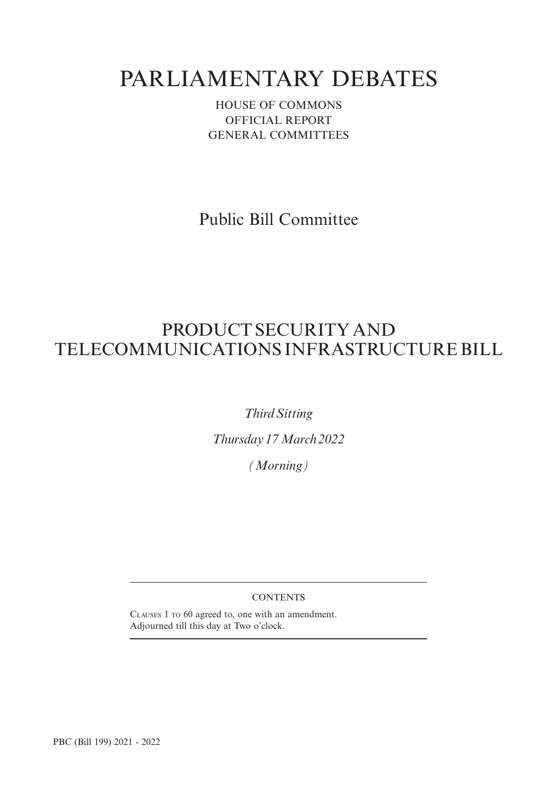# PARLIAMENTARY DEBATES

HOUSE OF COMMONS OFFICIAL REPORT GENERAL COMMITTEES

Public Bill Committee

## PRODUCT SECURITY AND TELECOMMUNICATIONS INFRASTRUCTURE BILL

*Third Sitting*

*Thursday 17 March 2022*

*(Morning)*

### **CONTENTS**

CLAUSES 1 TO 60 agreed to, one with an amendment. Adjourned till this day at Two o'clock.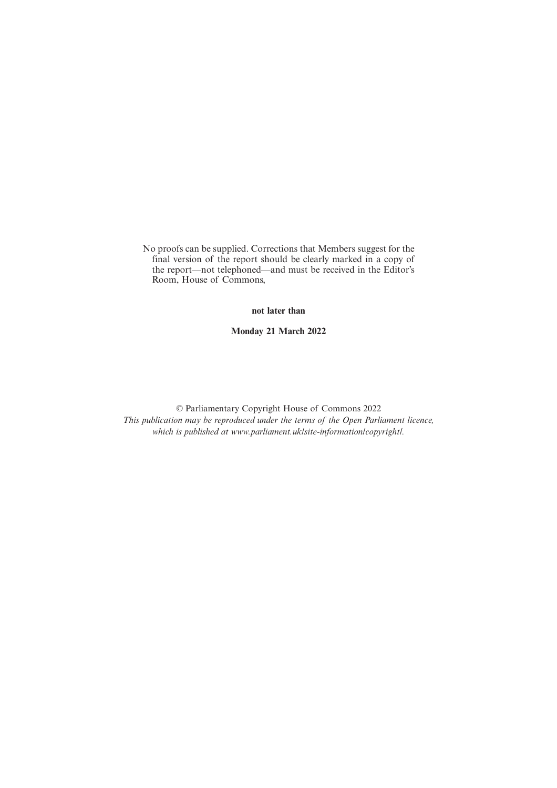No proofs can be supplied. Corrections that Members suggest for the final version of the report should be clearly marked in a copy of the report—not telephoned—and must be received in the Editor's Room, House of Commons,

**not later than**

**Monday 21 March 2022**

© Parliamentary Copyright House of Commons 2022 *This publication may be reproduced under the terms of the Open Parliament licence, which is published at www.parliament.uk/site-information/copyright/.*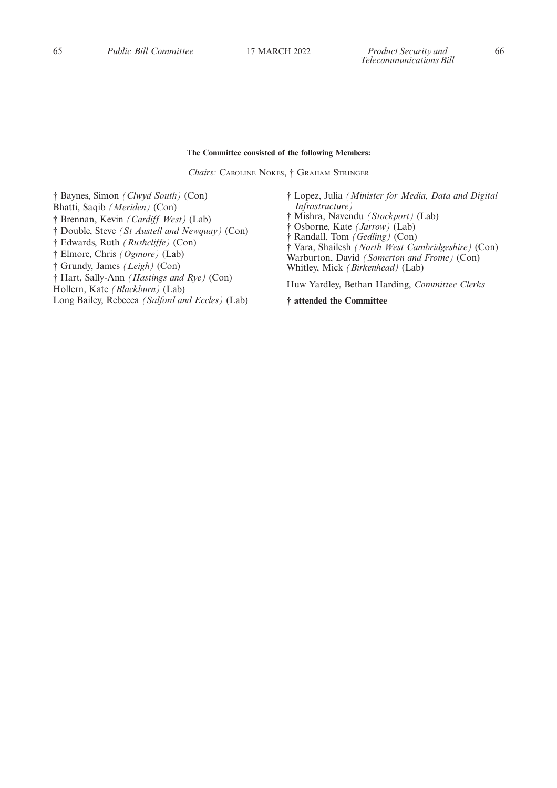#### **The Committee consisted of the following Members:**

*Chairs:* CAROLINE NOKES, † GRAHAM STRINGER

† Baynes, Simon *(Clwyd South)* (Con) Bhatti, Saqib *(Meriden)* (Con) † Brennan, Kevin *(Cardiff West)* (Lab) † Double, Steve *(St Austell and Newquay)* (Con) † Edwards, Ruth *(Rushcliffe)* (Con) † Elmore, Chris *(Ogmore)* (Lab) † Grundy, James *(Leigh)* (Con) † Hart, Sally-Ann *(Hastings and Rye)* (Con) Hollern, Kate *(Blackburn)* (Lab) Long Bailey, Rebecca *(Salford and Eccles)* (Lab)

- † Lopez, Julia *(Minister for Media, Data and Digital Infrastructure)* † Mishra, Navendu *(Stockport)* (Lab)
- † Osborne, Kate *(Jarrow)* (Lab)
- † Randall, Tom *(Gedling)* (Con)
- † Vara, Shailesh *(North West Cambridgeshire)* (Con) Warburton, David *(Somerton and Frome)* (Con) Whitley, Mick *(Birkenhead)* (Lab)

Huw Yardley, Bethan Harding, *Committee Clerks*

**† attended the Committee**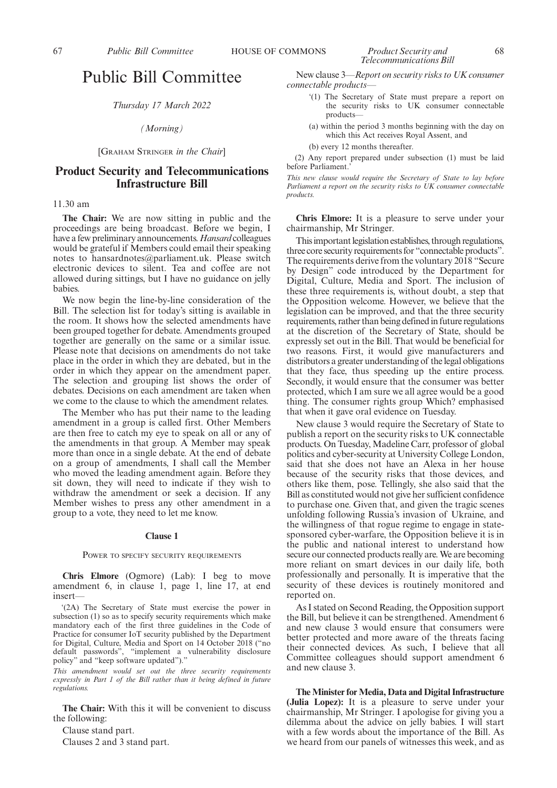#### *Thursday 17 March 2022*

#### *(Morning)*

#### [GRAHAM STRINGER *in the Chair*]

#### **Product Security and Telecommunications Infrastructure Bill**

#### 11.30 am

**The Chair:** We are now sitting in public and the proceedings are being broadcast. Before we begin, I have a few preliminary announcements. *Hansard* colleagues would be grateful if Members could email their speaking notes to hansardnotes@parliament.uk. Please switch electronic devices to silent. Tea and coffee are not allowed during sittings, but I have no guidance on jelly babies.

We now begin the line-by-line consideration of the Bill. The selection list for today's sitting is available in the room. It shows how the selected amendments have been grouped together for debate. Amendments grouped together are generally on the same or a similar issue. Please note that decisions on amendments do not take place in the order in which they are debated, but in the order in which they appear on the amendment paper. The selection and grouping list shows the order of debates. Decisions on each amendment are taken when we come to the clause to which the amendment relates.

The Member who has put their name to the leading amendment in a group is called first. Other Members are then free to catch my eye to speak on all or any of the amendments in that group. A Member may speak more than once in a single debate. At the end of debate on a group of amendments, I shall call the Member who moved the leading amendment again. Before they sit down, they will need to indicate if they wish to withdraw the amendment or seek a decision. If any Member wishes to press any other amendment in a group to a vote, they need to let me know.

#### **Clause 1**

#### POWER TO SPECIFY SECURITY REQUIREMENTS

**Chris Elmore** (Ogmore) (Lab): I beg to move amendment 6, in clause 1, page 1, line 17, at end insert—

'(2A) The Secretary of State must exercise the power in subsection (1) so as to specify security requirements which make mandatory each of the first three guidelines in the Code of Practice for consumer IoT security published by the Department for Digital, Culture, Media and Sport on 14 October 2018 ("no default passwords", "implement a vulnerability disclosure policy" and "keep software updated")."

*This amendment would set out the three security requirements expressly in Part 1 of the Bill rather than it being defined in future regulations.*

**The Chair:** With this it will be convenient to discuss the following:

Clause stand part. Clauses 2 and 3 stand part.

New clause 3—*Report on security risks to UK consumer connectable products*—

- '(1) The Secretary of State must prepare a report on the security risks to UK consumer connectable products—
- (a) within the period 3 months beginning with the day on which this Act receives Royal Assent, and

(b) every 12 months thereafter.

(2) Any report prepared under subsection (1) must be laid before Parliament.

*This new clause would require the Secretary of State to lay before Parliament a report on the security risks to UK consumer connectable products.*

**Chris Elmore:** It is a pleasure to serve under your chairmanship, Mr Stringer.

This important legislation establishes, through regulations, three core security requirements for "connectable products". The requirements derive from the voluntary 2018 "Secure by Design" code introduced by the Department for Digital, Culture, Media and Sport. The inclusion of these three requirements is, without doubt, a step that the Opposition welcome. However, we believe that the legislation can be improved, and that the three security requirements, rather than being defined in future regulations at the discretion of the Secretary of State, should be expressly set out in the Bill. That would be beneficial for two reasons. First, it would give manufacturers and distributors a greater understanding of the legal obligations that they face, thus speeding up the entire process. Secondly, it would ensure that the consumer was better protected, which I am sure we all agree would be a good thing. The consumer rights group Which? emphasised that when it gave oral evidence on Tuesday.

New clause 3 would require the Secretary of State to publish a report on the security risks to UK connectable products. On Tuesday, Madeline Carr, professor of global politics and cyber-security at University College London, said that she does not have an Alexa in her house because of the security risks that those devices, and others like them, pose. Tellingly, she also said that the Bill as constituted would not give her sufficient confidence to purchase one. Given that, and given the tragic scenes unfolding following Russia's invasion of Ukraine, and the willingness of that rogue regime to engage in statesponsored cyber-warfare, the Opposition believe it is in the public and national interest to understand how secure our connected products really are. We are becoming more reliant on smart devices in our daily life, both professionally and personally. It is imperative that the security of these devices is routinely monitored and reported on.

As I stated on Second Reading, the Opposition support the Bill, but believe it can be strengthened. Amendment 6 and new clause 3 would ensure that consumers were better protected and more aware of the threats facing their connected devices. As such, I believe that all Committee colleagues should support amendment 6 and new clause 3.

**The Minister for Media, Data and Digital Infrastructure (Julia Lopez):** It is a pleasure to serve under your chairmanship, Mr Stringer. I apologise for giving you a dilemma about the advice on jelly babies. I will start with a few words about the importance of the Bill. As we heard from our panels of witnesses this week, and as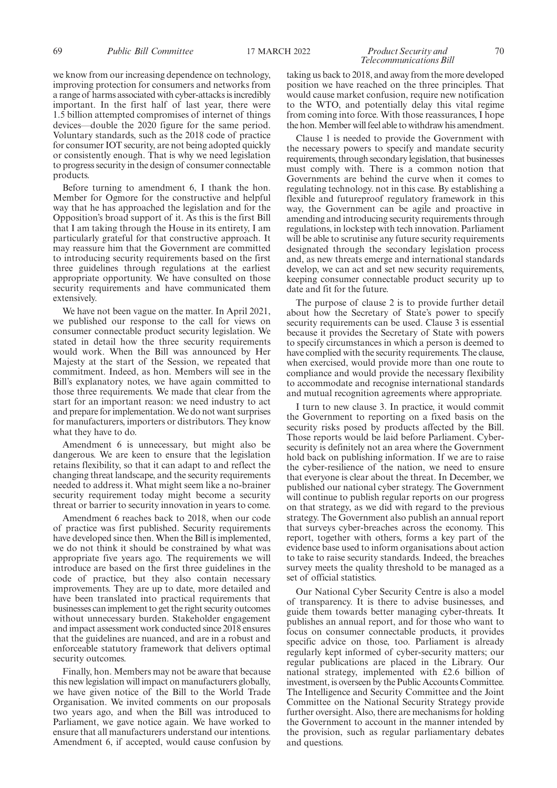#### 69 *Public Bill Committee* 17 MARCH 2022 *Product Security and* 70 *Telecommunications Bill*

we know from our increasing dependence on technology, improving protection for consumers and networks from a range of harms associated with cyber-attacks is incredibly important. In the first half of last year, there were 1.5 billion attempted compromises of internet of things devices—double the 2020 figure for the same period. Voluntary standards, such as the 2018 code of practice for consumer IOT security, are not being adopted quickly or consistently enough. That is why we need legislation to progress security in the design of consumer connectable products.

Before turning to amendment 6, I thank the hon. Member for Ogmore for the constructive and helpful way that he has approached the legislation and for the Opposition's broad support of it. As this is the first Bill that I am taking through the House in its entirety, I am particularly grateful for that constructive approach. It may reassure him that the Government are committed to introducing security requirements based on the first three guidelines through regulations at the earliest appropriate opportunity. We have consulted on those security requirements and have communicated them extensively.

We have not been vague on the matter. In April 2021, we published our response to the call for views on consumer connectable product security legislation. We stated in detail how the three security requirements would work. When the Bill was announced by Her Majesty at the start of the Session, we repeated that commitment. Indeed, as hon. Members will see in the Bill's explanatory notes, we have again committed to those three requirements. We made that clear from the start for an important reason: we need industry to act and prepare for implementation. We do not want surprises for manufacturers, importers or distributors. They know what they have to do.

Amendment 6 is unnecessary, but might also be dangerous. We are keen to ensure that the legislation retains flexibility, so that it can adapt to and reflect the changing threat landscape, and the security requirements needed to address it. What might seem like a no-brainer security requirement today might become a security threat or barrier to security innovation in years to come.

Amendment 6 reaches back to 2018, when our code of practice was first published. Security requirements have developed since then. When the Bill is implemented, we do not think it should be constrained by what was appropriate five years ago. The requirements we will introduce are based on the first three guidelines in the code of practice, but they also contain necessary improvements. They are up to date, more detailed and have been translated into practical requirements that businesses can implement to get the right security outcomes without unnecessary burden. Stakeholder engagement and impact assessment work conducted since 2018 ensures that the guidelines are nuanced, and are in a robust and enforceable statutory framework that delivers optimal security outcomes.

Finally, hon. Members may not be aware that because this new legislation will impact on manufacturers globally, we have given notice of the Bill to the World Trade Organisation. We invited comments on our proposals two years ago, and when the Bill was introduced to Parliament, we gave notice again. We have worked to ensure that all manufacturers understand our intentions. Amendment 6, if accepted, would cause confusion by taking us back to 2018, and away from the more developed position we have reached on the three principles. That would cause market confusion, require new notification to the WTO, and potentially delay this vital regime from coming into force. With those reassurances, I hope the hon. Member will feel able to withdraw his amendment.

Clause 1 is needed to provide the Government with the necessary powers to specify and mandate security requirements, through secondary legislation, that businesses must comply with. There is a common notion that Governments are behind the curve when it comes to regulating technology. not in this case. By establishing a flexible and futureproof regulatory framework in this way, the Government can be agile and proactive in amending and introducing security requirements through regulations, in lockstep with tech innovation. Parliament will be able to scrutinise any future security requirements designated through the secondary legislation process and, as new threats emerge and international standards develop, we can act and set new security requirements, keeping consumer connectable product security up to date and fit for the future.

The purpose of clause 2 is to provide further detail about how the Secretary of State's power to specify security requirements can be used. Clause 3 is essential because it provides the Secretary of State with powers to specify circumstances in which a person is deemed to have complied with the security requirements. The clause, when exercised, would provide more than one route to compliance and would provide the necessary flexibility to accommodate and recognise international standards and mutual recognition agreements where appropriate.

I turn to new clause 3. In practice, it would commit the Government to reporting on a fixed basis on the security risks posed by products affected by the Bill. Those reports would be laid before Parliament. Cybersecurity is definitely not an area where the Government hold back on publishing information. If we are to raise the cyber-resilience of the nation, we need to ensure that everyone is clear about the threat. In December, we published our national cyber strategy. The Government will continue to publish regular reports on our progress on that strategy, as we did with regard to the previous strategy. The Government also publish an annual report that surveys cyber-breaches across the economy. This report, together with others, forms a key part of the evidence base used to inform organisations about action to take to raise security standards. Indeed, the breaches survey meets the quality threshold to be managed as a set of official statistics.

Our National Cyber Security Centre is also a model of transparency. It is there to advise businesses, and guide them towards better managing cyber-threats. It publishes an annual report, and for those who want to focus on consumer connectable products, it provides specific advice on those, too. Parliament is already regularly kept informed of cyber-security matters; our regular publications are placed in the Library. Our national strategy, implemented with £2.6 billion of investment, is overseen by the Public Accounts Committee. The Intelligence and Security Committee and the Joint Committee on the National Security Strategy provide further oversight. Also, there are mechanisms for holding the Government to account in the manner intended by the provision, such as regular parliamentary debates and questions.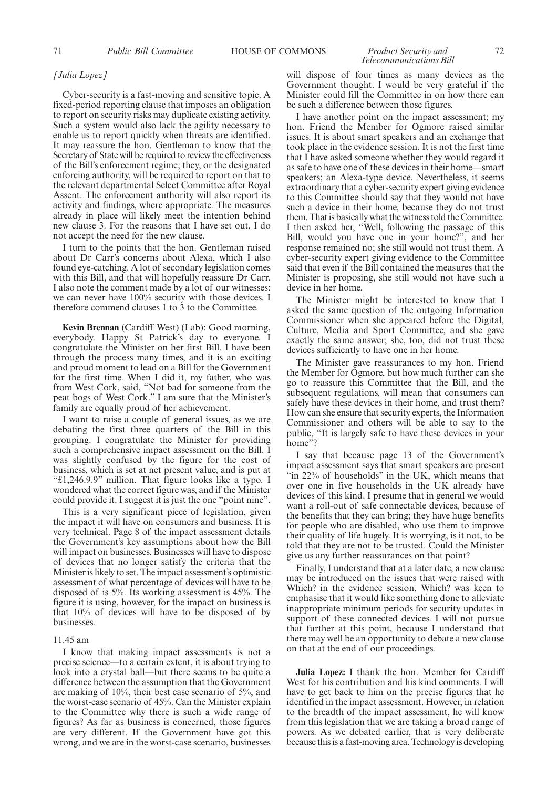### *Telecommunications Bill*

#### *[Julia Lopez]*

Cyber-security is a fast-moving and sensitive topic. A fixed-period reporting clause that imposes an obligation to report on security risks may duplicate existing activity. Such a system would also lack the agility necessary to enable us to report quickly when threats are identified. It may reassure the hon. Gentleman to know that the Secretary of State will be required to review the effectiveness of the Bill's enforcement regime; they, or the designated enforcing authority, will be required to report on that to the relevant departmental Select Committee after Royal Assent. The enforcement authority will also report its activity and findings, where appropriate. The measures already in place will likely meet the intention behind new clause 3. For the reasons that I have set out, I do not accept the need for the new clause.

I turn to the points that the hon. Gentleman raised about Dr Carr's concerns about Alexa, which I also found eye-catching. A lot of secondary legislation comes with this Bill, and that will hopefully reassure Dr Carr. I also note the comment made by a lot of our witnesses: we can never have 100% security with those devices. I therefore commend clauses 1 to 3 to the Committee.

**Kevin Brennan** (Cardiff West) (Lab): Good morning, everybody. Happy St Patrick's day to everyone. I congratulate the Minister on her first Bill. I have been through the process many times, and it is an exciting and proud moment to lead on a Bill for the Government for the first time. When I did it, my father, who was from West Cork, said, "Not bad for someone from the peat bogs of West Cork." I am sure that the Minister's family are equally proud of her achievement.

I want to raise a couple of general issues, as we are debating the first three quarters of the Bill in this grouping. I congratulate the Minister for providing such a comprehensive impact assessment on the Bill. I was slightly confused by the figure for the cost of business, which is set at net present value, and is put at "£1,246.9.9" million. That figure looks like a typo. I wondered what the correct figure was, and if the Minister could provide it. I suggest it is just the one "point nine".

This is a very significant piece of legislation, given the impact it will have on consumers and business. It is very technical. Page 8 of the impact assessment details the Government's key assumptions about how the Bill will impact on businesses. Businesses will have to dispose of devices that no longer satisfy the criteria that the Minister is likely to set. The impact assessment's optimistic assessment of what percentage of devices will have to be disposed of is 5%. Its working assessment is 45%. The figure it is using, however, for the impact on business is that 10% of devices will have to be disposed of by businesses.

#### 11.45 am

I know that making impact assessments is not a precise science—to a certain extent, it is about trying to look into a crystal ball—but there seems to be quite a difference between the assumption that the Government are making of 10%, their best case scenario of 5%, and the worst-case scenario of 45%. Can the Minister explain to the Committee why there is such a wide range of figures? As far as business is concerned, those figures are very different. If the Government have got this wrong, and we are in the worst-case scenario, businesses

will dispose of four times as many devices as the Government thought. I would be very grateful if the Minister could fill the Committee in on how there can be such a difference between those figures.

I have another point on the impact assessment; my hon. Friend the Member for Ogmore raised similar issues. It is about smart speakers and an exchange that took place in the evidence session. It is not the first time that I have asked someone whether they would regard it as safe to have one of these devices in their home—smart speakers; an Alexa-type device. Nevertheless, it seems extraordinary that a cyber-security expert giving evidence to this Committee should say that they would not have such a device in their home, because they do not trust them. That is basically what the witness told the Committee. I then asked her, "Well, following the passage of this Bill, would you have one in your home?", and her response remained no; she still would not trust them. A cyber-security expert giving evidence to the Committee said that even if the Bill contained the measures that the Minister is proposing, she still would not have such a device in her home.

The Minister might be interested to know that I asked the same question of the outgoing Information Commissioner when she appeared before the Digital, Culture, Media and Sport Committee, and she gave exactly the same answer; she, too, did not trust these devices sufficiently to have one in her home.

The Minister gave reassurances to my hon. Friend the Member for Ogmore, but how much further can she go to reassure this Committee that the Bill, and the subsequent regulations, will mean that consumers can safely have these devices in their home, and trust them? How can she ensure that security experts, the Information Commissioner and others will be able to say to the public, "It is largely safe to have these devices in your home"?

I say that because page 13 of the Government's impact assessment says that smart speakers are present "in 22% of households" in the UK, which means that over one in five households in the UK already have devices of this kind. I presume that in general we would want a roll-out of safe connectable devices, because of the benefits that they can bring; they have huge benefits for people who are disabled, who use them to improve their quality of life hugely. It is worrying, is it not, to be told that they are not to be trusted. Could the Minister give us any further reassurances on that point?

Finally, I understand that at a later date, a new clause may be introduced on the issues that were raised with Which? in the evidence session. Which? was keen to emphasise that it would like something done to alleviate inappropriate minimum periods for security updates in support of these connected devices. I will not pursue that further at this point, because I understand that there may well be an opportunity to debate a new clause on that at the end of our proceedings.

**Julia Lopez:** I thank the hon. Member for Cardiff West for his contribution and his kind comments. I will have to get back to him on the precise figures that he identified in the impact assessment. However, in relation to the breadth of the impact assessment, he will know from this legislation that we are taking a broad range of powers. As we debated earlier, that is very deliberate because this is a fast-moving area. Technology is developing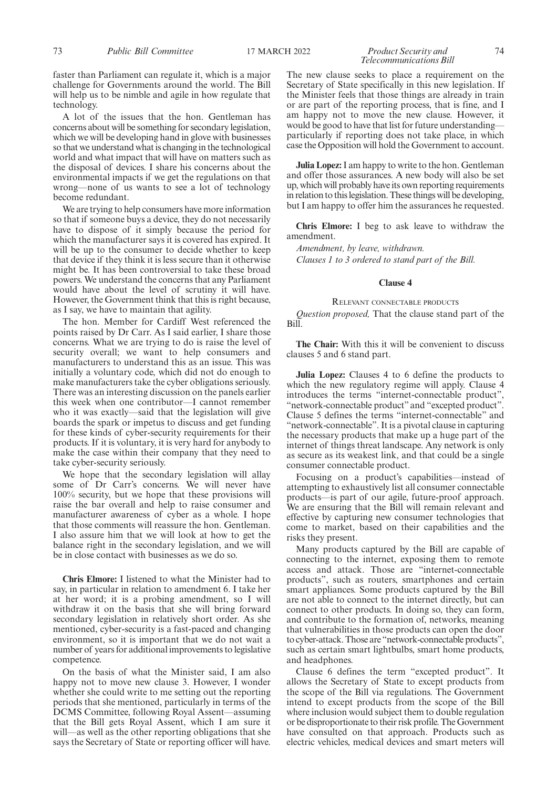faster than Parliament can regulate it, which is a major challenge for Governments around the world. The Bill will help us to be nimble and agile in how regulate that technology.

A lot of the issues that the hon. Gentleman has concerns about will be something for secondary legislation, which we will be developing hand in glove with businesses so that we understand what is changing in the technological world and what impact that will have on matters such as the disposal of devices. I share his concerns about the environmental impacts if we get the regulations on that wrong—none of us wants to see a lot of technology become redundant.

We are trying to help consumers have more information so that if someone buys a device, they do not necessarily have to dispose of it simply because the period for which the manufacturer says it is covered has expired. It will be up to the consumer to decide whether to keep that device if they think it is less secure than it otherwise might be. It has been controversial to take these broad powers. We understand the concerns that any Parliament would have about the level of scrutiny it will have. However, the Government think that this is right because, as I say, we have to maintain that agility.

The hon. Member for Cardiff West referenced the points raised by Dr Carr. As I said earlier, I share those concerns. What we are trying to do is raise the level of security overall; we want to help consumers and manufacturers to understand this as an issue. This was initially a voluntary code, which did not do enough to make manufacturers take the cyber obligations seriously. There was an interesting discussion on the panels earlier this week when one contributor—I cannot remember who it was exactly—said that the legislation will give boards the spark or impetus to discuss and get funding for these kinds of cyber-security requirements for their products. If it is voluntary, it is very hard for anybody to make the case within their company that they need to take cyber-security seriously.

We hope that the secondary legislation will allay some of Dr Carr's concerns. We will never have 100% security, but we hope that these provisions will raise the bar overall and help to raise consumer and manufacturer awareness of cyber as a whole. I hope that those comments will reassure the hon. Gentleman. I also assure him that we will look at how to get the balance right in the secondary legislation, and we will be in close contact with businesses as we do so.

**Chris Elmore:** I listened to what the Minister had to say, in particular in relation to amendment 6. I take her at her word; it is a probing amendment, so I will withdraw it on the basis that she will bring forward secondary legislation in relatively short order. As she mentioned, cyber-security is a fast-paced and changing environment, so it is important that we do not wait a number of years for additional improvements to legislative competence.

On the basis of what the Minister said, I am also happy not to move new clause 3. However, I wonder whether she could write to me setting out the reporting periods that she mentioned, particularly in terms of the DCMS Committee, following Royal Assent—assuming that the Bill gets Royal Assent, which I am sure it will—as well as the other reporting obligations that she says the Secretary of State or reporting officer will have. The new clause seeks to place a requirement on the Secretary of State specifically in this new legislation. If the Minister feels that those things are already in train or are part of the reporting process, that is fine, and I am happy not to move the new clause. However, it would be good to have that list for future understanding particularly if reporting does not take place, in which case the Opposition will hold the Government to account.

**Julia Lopez:** I am happy to write to the hon. Gentleman and offer those assurances. A new body will also be set up, which will probably have its own reporting requirements in relation to this legislation. These things will be developing, but I am happy to offer him the assurances he requested.

**Chris Elmore:** I beg to ask leave to withdraw the amendment.

*Amendment, by leave, withdrawn. Clauses 1 to 3 ordered to stand part of the Bill.*

#### **Clause 4**

#### RELEVANT CONNECTABLE PRODUCTS

*Question proposed,* That the clause stand part of the Bill.

**The Chair:** With this it will be convenient to discuss clauses 5 and 6 stand part.

**Julia Lopez:** Clauses 4 to 6 define the products to which the new regulatory regime will apply. Clause 4 introduces the terms "internet-connectable product", "network-connectable product" and "excepted product". Clause 5 defines the terms "internet-connectable" and "network-connectable". It is a pivotal clause in capturing the necessary products that make up a huge part of the internet of things threat landscape. Any network is only as secure as its weakest link, and that could be a single consumer connectable product.

Focusing on a product's capabilities—instead of attempting to exhaustively list all consumer connectable products—is part of our agile, future-proof approach. We are ensuring that the Bill will remain relevant and effective by capturing new consumer technologies that come to market, based on their capabilities and the risks they present.

Many products captured by the Bill are capable of connecting to the internet, exposing them to remote access and attack. Those are "internet-connectable products", such as routers, smartphones and certain smart appliances. Some products captured by the Bill are not able to connect to the internet directly, but can connect to other products. In doing so, they can form, and contribute to the formation of, networks, meaning that vulnerabilities in those products can open the door to cyber-attack. Those are "network-connectable products", such as certain smart lightbulbs, smart home products, and headphones.

Clause 6 defines the term "excepted product". It allows the Secretary of State to except products from the scope of the Bill via regulations. The Government intend to except products from the scope of the Bill where inclusion would subject them to double regulation or be disproportionate to their risk profile. The Government have consulted on that approach. Products such as electric vehicles, medical devices and smart meters will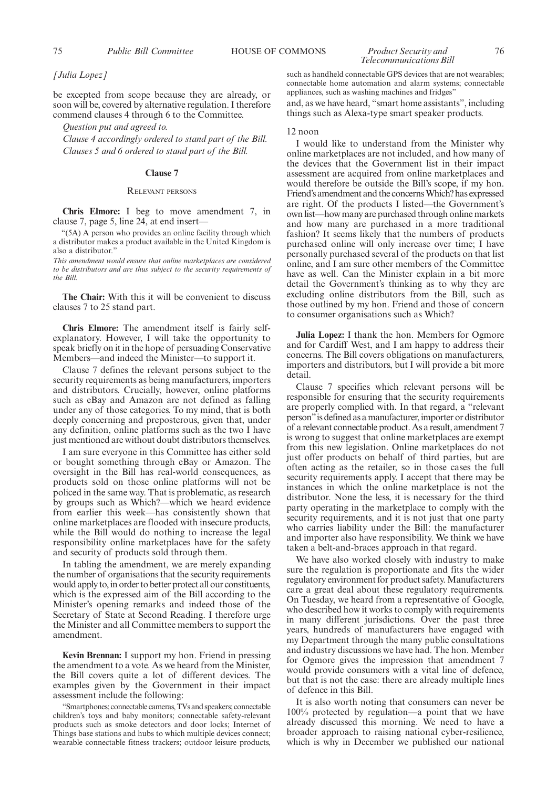*[Julia Lopez]*

be excepted from scope because they are already, or soon will be, covered by alternative regulation. I therefore commend clauses 4 through 6 to the Committee.

*Question put and agreed to.*

*Clause 4 accordingly ordered to stand part of the Bill. Clauses 5 and 6 ordered to stand part of the Bill.*

#### **Clause 7**

#### RELEVANT PERSONS

**Chris Elmore:** I beg to move amendment 7, in clause 7, page 5, line 24, at end insert—

"(5A) A person who provides an online facility through which a distributor makes a product available in the United Kingdom is also a distributor.'

*This amendment would ensure that online marketplaces are considered to be distributors and are thus subject to the security requirements of the Bill.*

**The Chair:** With this it will be convenient to discuss clauses 7 to 25 stand part.

**Chris Elmore:** The amendment itself is fairly selfexplanatory. However, I will take the opportunity to speak briefly on it in the hope of persuading Conservative Members—and indeed the Minister—to support it.

Clause 7 defines the relevant persons subject to the security requirements as being manufacturers, importers and distributors. Crucially, however, online platforms such as eBay and Amazon are not defined as falling under any of those categories. To my mind, that is both deeply concerning and preposterous, given that, under any definition, online platforms such as the two I have just mentioned are without doubt distributors themselves.

I am sure everyone in this Committee has either sold or bought something through eBay or Amazon. The oversight in the Bill has real-world consequences, as products sold on those online platforms will not be policed in the same way. That is problematic, as research by groups such as Which?—which we heard evidence from earlier this week—has consistently shown that online marketplaces are flooded with insecure products, while the Bill would do nothing to increase the legal responsibility online marketplaces have for the safety and security of products sold through them.

In tabling the amendment, we are merely expanding the number of organisations that the security requirements would apply to, in order to better protect all our constituents, which is the expressed aim of the Bill according to the Minister's opening remarks and indeed those of the Secretary of State at Second Reading. I therefore urge the Minister and all Committee members to support the amendment.

**Kevin Brennan:** I support my hon. Friend in pressing the amendment to a vote. As we heard from the Minister, the Bill covers quite a lot of different devices. The examples given by the Government in their impact assessment include the following:

"Smartphones; connectable cameras, TVs and speakers; connectable children's toys and baby monitors; connectable safety-relevant products such as smoke detectors and door locks; Internet of Things base stations and hubs to which multiple devices connect; wearable connectable fitness trackers; outdoor leisure products, *Telecommunications Bill*

such as handheld connectable GPS devices that are not wearables; connectable home automation and alarm systems; connectable appliances, such as washing machines and fridges"

and, as we have heard, "smart home assistants", including things such as Alexa-type smart speaker products.

#### $12$  noon

I would like to understand from the Minister why online marketplaces are not included, and how many of the devices that the Government list in their impact assessment are acquired from online marketplaces and would therefore be outside the Bill's scope, if my hon. Friend's amendment and the concerns Which? has expressed are right. Of the products I listed—the Government's own list—how many are purchased through online markets and how many are purchased in a more traditional fashion? It seems likely that the numbers of products purchased online will only increase over time; I have personally purchased several of the products on that list online, and I am sure other members of the Committee have as well. Can the Minister explain in a bit more detail the Government's thinking as to why they are excluding online distributors from the Bill, such as those outlined by my hon. Friend and those of concern to consumer organisations such as Which?

**Julia Lopez:** I thank the hon. Members for Ogmore and for Cardiff West, and I am happy to address their concerns. The Bill covers obligations on manufacturers, importers and distributors, but I will provide a bit more detail.

Clause 7 specifies which relevant persons will be responsible for ensuring that the security requirements are properly complied with. In that regard, a "relevant person"is defined as a manufacturer, importer or distributor of a relevant connectable product. As a result, amendment 7 is wrong to suggest that online marketplaces are exempt from this new legislation. Online marketplaces do not just offer products on behalf of third parties, but are often acting as the retailer, so in those cases the full security requirements apply. I accept that there may be instances in which the online marketplace is not the distributor. None the less, it is necessary for the third party operating in the marketplace to comply with the security requirements, and it is not just that one party who carries liability under the Bill: the manufacturer and importer also have responsibility. We think we have taken a belt-and-braces approach in that regard.

We have also worked closely with industry to make sure the regulation is proportionate and fits the wider regulatory environment for product safety. Manufacturers care a great deal about these regulatory requirements. On Tuesday, we heard from a representative of Google, who described how it works to comply with requirements in many different jurisdictions. Over the past three years, hundreds of manufacturers have engaged with my Department through the many public consultations and industry discussions we have had. The hon. Member for Ogmore gives the impression that amendment 7 would provide consumers with a vital line of defence, but that is not the case: there are already multiple lines of defence in this Bill.

It is also worth noting that consumers can never be 100% protected by regulation—a point that we have already discussed this morning. We need to have a broader approach to raising national cyber-resilience, which is why in December we published our national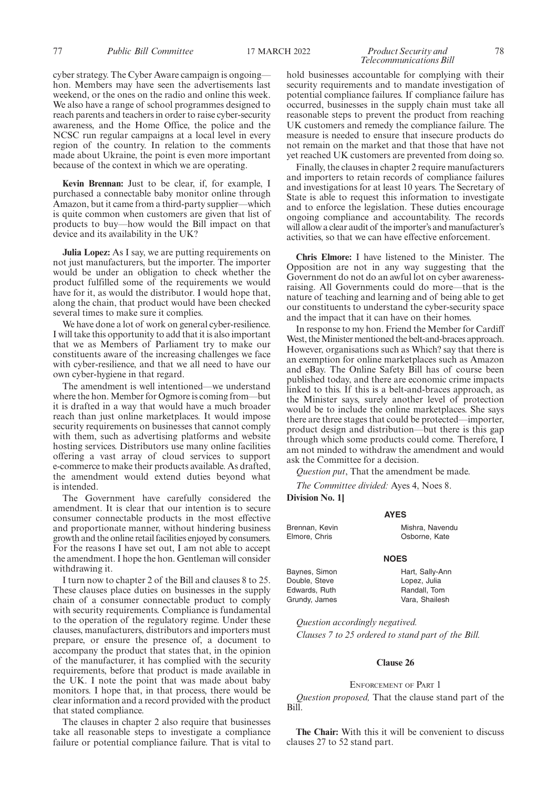### *Telecommunications Bill*

cyber strategy. The Cyber Aware campaign is ongoing hon. Members may have seen the advertisements last weekend, or the ones on the radio and online this week. We also have a range of school programmes designed to reach parents and teachers in order to raise cyber-security awareness, and the Home Office, the police and the NCSC run regular campaigns at a local level in every region of the country. In relation to the comments made about Ukraine, the point is even more important because of the context in which we are operating.

**Kevin Brennan:** Just to be clear, if, for example, I purchased a connectable baby monitor online through Amazon, but it came from a third-party supplier—which is quite common when customers are given that list of products to buy—how would the Bill impact on that device and its availability in the UK?

**Julia Lopez:** As I say, we are putting requirements on not just manufacturers, but the importer. The importer would be under an obligation to check whether the product fulfilled some of the requirements we would have for it, as would the distributor. I would hope that, along the chain, that product would have been checked several times to make sure it complies.

We have done a lot of work on general cyber-resilience. I will take this opportunity to add that it is also important that we as Members of Parliament try to make our constituents aware of the increasing challenges we face with cyber-resilience, and that we all need to have our own cyber-hygiene in that regard.

The amendment is well intentioned—we understand where the hon. Member for Ogmore is coming from—but it is drafted in a way that would have a much broader reach than just online marketplaces. It would impose security requirements on businesses that cannot comply with them, such as advertising platforms and website hosting services. Distributors use many online facilities offering a vast array of cloud services to support e-commerce to make their products available. As drafted, the amendment would extend duties beyond what is intended.

The Government have carefully considered the amendment. It is clear that our intention is to secure consumer connectable products in the most effective and proportionate manner, without hindering business growth and the online retail facilities enjoyed by consumers. For the reasons I have set out, I am not able to accept the amendment. I hope the hon. Gentleman will consider withdrawing it.

I turn now to chapter 2 of the Bill and clauses 8 to 25. These clauses place duties on businesses in the supply chain of a consumer connectable product to comply with security requirements. Compliance is fundamental to the operation of the regulatory regime. Under these clauses, manufacturers, distributors and importers must prepare, or ensure the presence of, a document to accompany the product that states that, in the opinion of the manufacturer, it has complied with the security requirements, before that product is made available in the UK. I note the point that was made about baby monitors. I hope that, in that process, there would be clear information and a record provided with the product that stated compliance.

The clauses in chapter 2 also require that businesses take all reasonable steps to investigate a compliance failure or potential compliance failure. That is vital to hold businesses accountable for complying with their security requirements and to mandate investigation of potential compliance failures. If compliance failure has occurred, businesses in the supply chain must take all reasonable steps to prevent the product from reaching UK customers and remedy the compliance failure. The measure is needed to ensure that insecure products do not remain on the market and that those that have not yet reached UK customers are prevented from doing so.

Finally, the clauses in chapter 2 require manufacturers and importers to retain records of compliance failures and investigations for at least 10 years. The Secretary of State is able to request this information to investigate and to enforce the legislation. These duties encourage ongoing compliance and accountability. The records will allow a clear audit of the importer's and manufacturer's activities, so that we can have effective enforcement.

**Chris Elmore:** I have listened to the Minister. The Opposition are not in any way suggesting that the Government do not do an awful lot on cyber awarenessraising. All Governments could do more—that is the nature of teaching and learning and of being able to get our constituents to understand the cyber-security space and the impact that it can have on their homes.

In response to my hon. Friend the Member for Cardiff West, the Minister mentioned the belt-and-braces approach. However, organisations such as Which? say that there is an exemption for online marketplaces such as Amazon and eBay. The Online Safety Bill has of course been published today, and there are economic crime impacts linked to this. If this is a belt-and-braces approach, as the Minister says, surely another level of protection would be to include the online marketplaces. She says there are three stages that could be protected—importer, product design and distribution—but there is this gap through which some products could come. Therefore, I am not minded to withdraw the amendment and would ask the Committee for a decision.

*Question put*, That the amendment be made.

*The Committee divided:* Ayes 4, Noes 8.

**Division No. 1]**

Brennan, Kevin Elmore, Chris

Baynes, Simon Double, Steve Edwards, Ruth Grundy, James **AYES** Mishra, Navendu Osborne, Kate

#### **NOES**

Hart, Sally-Ann Lopez, Julia Randall, Tom Vara, Shailesh

*Question accordingly negatived. Clauses 7 to 25 ordered to stand part of the Bill.*

#### **Clause 26**

#### ENFORCEMENT OF PART 1

*Question proposed,* That the clause stand part of the Bill.

**The Chair:** With this it will be convenient to discuss clauses 27 to 52 stand part.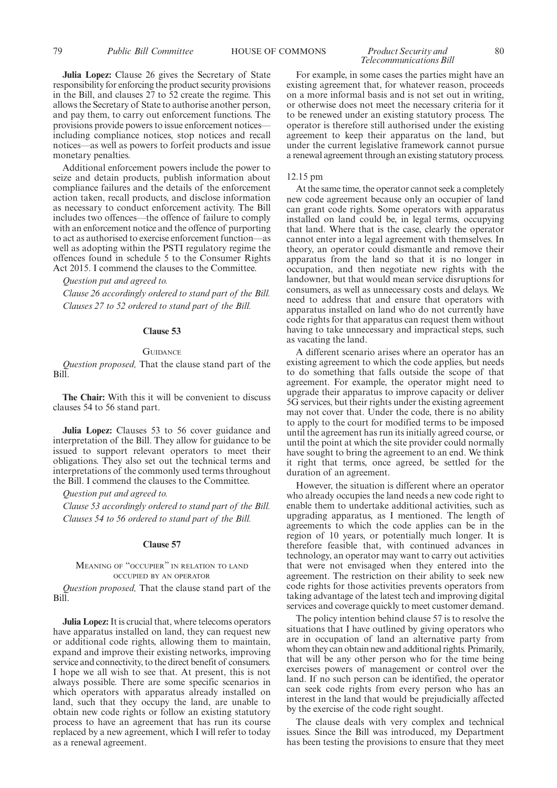**Julia Lopez:** Clause 26 gives the Secretary of State responsibility for enforcing the product security provisions in the Bill, and clauses 27 to 52 create the regime. This allows the Secretary of State to authorise another person, and pay them, to carry out enforcement functions. The provisions provide powers to issue enforcement notices including compliance notices, stop notices and recall notices—as well as powers to forfeit products and issue monetary penalties.

Additional enforcement powers include the power to seize and detain products, publish information about compliance failures and the details of the enforcement action taken, recall products, and disclose information as necessary to conduct enforcement activity. The Bill includes two offences—the offence of failure to comply with an enforcement notice and the offence of purporting to act as authorised to exercise enforcement function—as well as adopting within the PSTI regulatory regime the offences found in schedule 5 to the Consumer Rights Act 2015. I commend the clauses to the Committee.

#### *Question put and agreed to.*

*Clause 26 accordingly ordered to stand part of the Bill. Clauses 27 to 52 ordered to stand part of the Bill.*

#### **Clause 53**

#### **GUIDANCE**

*Question proposed,* That the clause stand part of the Bill.

**The Chair:** With this it will be convenient to discuss clauses 54 to 56 stand part.

**Julia Lopez:** Clauses 53 to 56 cover guidance and interpretation of the Bill. They allow for guidance to be issued to support relevant operators to meet their obligations. They also set out the technical terms and interpretations of the commonly used terms throughout the Bill. I commend the clauses to the Committee.

#### *Question put and agreed to.*

*Clause 53 accordingly ordered to stand part of the Bill. Clauses 54 to 56 ordered to stand part of the Bill.*

#### **Clause 57**

#### MEANING OF "OCCUPIER" IN RELATION TO LAND OCCUPIED BY AN OPERATOR

*Question proposed,* That the clause stand part of the Bill.

**Julia Lopez:** It is crucial that, where telecoms operators have apparatus installed on land, they can request new or additional code rights, allowing them to maintain, expand and improve their existing networks, improving service and connectivity, to the direct benefit of consumers. I hope we all wish to see that. At present, this is not always possible. There are some specific scenarios in which operators with apparatus already installed on land, such that they occupy the land, are unable to obtain new code rights or follow an existing statutory process to have an agreement that has run its course replaced by a new agreement, which I will refer to today as a renewal agreement.

### *Telecommunications Bill*

For example, in some cases the parties might have an existing agreement that, for whatever reason, proceeds on a more informal basis and is not set out in writing, or otherwise does not meet the necessary criteria for it to be renewed under an existing statutory process. The operator is therefore still authorised under the existing agreement to keep their apparatus on the land, but under the current legislative framework cannot pursue a renewal agreement through an existing statutory process.

#### 12.15 pm

At the same time, the operator cannot seek a completely new code agreement because only an occupier of land can grant code rights. Some operators with apparatus installed on land could be, in legal terms, occupying that land. Where that is the case, clearly the operator cannot enter into a legal agreement with themselves. In theory, an operator could dismantle and remove their apparatus from the land so that it is no longer in occupation, and then negotiate new rights with the landowner, but that would mean service disruptions for consumers, as well as unnecessary costs and delays. We need to address that and ensure that operators with apparatus installed on land who do not currently have code rights for that apparatus can request them without having to take unnecessary and impractical steps, such as vacating the land.

A different scenario arises where an operator has an existing agreement to which the code applies, but needs to do something that falls outside the scope of that agreement. For example, the operator might need to upgrade their apparatus to improve capacity or deliver 5G services, but their rights under the existing agreement may not cover that. Under the code, there is no ability to apply to the court for modified terms to be imposed until the agreement has run its initially agreed course, or until the point at which the site provider could normally have sought to bring the agreement to an end. We think it right that terms, once agreed, be settled for the duration of an agreement.

However, the situation is different where an operator who already occupies the land needs a new code right to enable them to undertake additional activities, such as upgrading apparatus, as I mentioned. The length of agreements to which the code applies can be in the region of 10 years, or potentially much longer. It is therefore feasible that, with continued advances in technology, an operator may want to carry out activities that were not envisaged when they entered into the agreement. The restriction on their ability to seek new code rights for those activities prevents operators from taking advantage of the latest tech and improving digital services and coverage quickly to meet customer demand.

The policy intention behind clause 57 is to resolve the situations that I have outlined by giving operators who are in occupation of land an alternative party from whom they can obtain new and additional rights. Primarily, that will be any other person who for the time being exercises powers of management or control over the land. If no such person can be identified, the operator can seek code rights from every person who has an interest in the land that would be prejudicially affected by the exercise of the code right sought.

The clause deals with very complex and technical issues. Since the Bill was introduced, my Department has been testing the provisions to ensure that they meet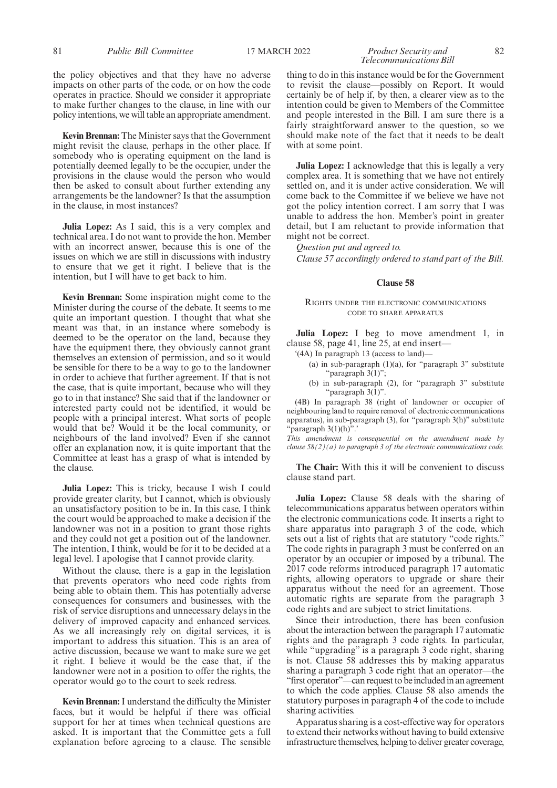the policy objectives and that they have no adverse impacts on other parts of the code, or on how the code operates in practice. Should we consider it appropriate to make further changes to the clause, in line with our policy intentions, we will table an appropriate amendment.

**Kevin Brennan:** The Minister says that the Government might revisit the clause, perhaps in the other place. If somebody who is operating equipment on the land is potentially deemed legally to be the occupier, under the provisions in the clause would the person who would then be asked to consult about further extending any arrangements be the landowner? Is that the assumption in the clause, in most instances?

**Julia Lopez:** As I said, this is a very complex and technical area. I do not want to provide the hon. Member with an incorrect answer, because this is one of the issues on which we are still in discussions with industry to ensure that we get it right. I believe that is the intention, but I will have to get back to him.

**Kevin Brennan:** Some inspiration might come to the Minister during the course of the debate. It seems to me quite an important question. I thought that what she meant was that, in an instance where somebody is deemed to be the operator on the land, because they have the equipment there, they obviously cannot grant themselves an extension of permission, and so it would be sensible for there to be a way to go to the landowner in order to achieve that further agreement. If that is not the case, that is quite important, because who will they go to in that instance? She said that if the landowner or interested party could not be identified, it would be people with a principal interest. What sorts of people would that be? Would it be the local community, or neighbours of the land involved? Even if she cannot offer an explanation now, it is quite important that the Committee at least has a grasp of what is intended by the clause.

**Julia Lopez:** This is tricky, because I wish I could provide greater clarity, but I cannot, which is obviously an unsatisfactory position to be in. In this case, I think the court would be approached to make a decision if the landowner was not in a position to grant those rights and they could not get a position out of the landowner. The intention, I think, would be for it to be decided at a legal level. I apologise that I cannot provide clarity.

Without the clause, there is a gap in the legislation that prevents operators who need code rights from being able to obtain them. This has potentially adverse consequences for consumers and businesses, with the risk of service disruptions and unnecessary delays in the delivery of improved capacity and enhanced services. As we all increasingly rely on digital services, it is important to address this situation. This is an area of active discussion, because we want to make sure we get it right. I believe it would be the case that, if the landowner were not in a position to offer the rights, the operator would go to the court to seek redress.

**Kevin Brennan:**I understand the difficulty the Minister faces, but it would be helpful if there was official support for her at times when technical questions are asked. It is important that the Committee gets a full explanation before agreeing to a clause. The sensible thing to do in this instance would be for the Government to revisit the clause—possibly on Report. It would certainly be of help if, by then, a clearer view as to the intention could be given to Members of the Committee and people interested in the Bill. I am sure there is a fairly straightforward answer to the question, so we should make note of the fact that it needs to be dealt with at some point.

**Julia Lopez:** I acknowledge that this is legally a very complex area. It is something that we have not entirely settled on, and it is under active consideration. We will come back to the Committee if we believe we have not got the policy intention correct. I am sorry that I was unable to address the hon. Member's point in greater detail, but I am reluctant to provide information that might not be correct.

*Question put and agreed to. Clause 57 accordingly ordered to stand part of the Bill.*

#### **Clause 58**

#### RIGHTS UNDER THE ELECTRONIC COMMUNICATIONS CODE TO SHARE APPARATUS

**Julia Lopez:** I beg to move amendment 1, in clause 58, page 41, line 25, at end insert—

'(4A) In paragraph 13 (access to land)—

- (a) in sub-paragraph  $(1)(a)$ , for "paragraph 3" substitute "paragraph 3(1)";
- (b) in sub-paragraph (2), for "paragraph 3" substitute "paragraph 3(1)".

(4B) In paragraph 38 (right of landowner or occupier of neighbouring land to require removal of electronic communications apparatus), in sub-paragraph (3), for "paragraph 3(h)" substitute "paragraph 3(1)(h)".'

*This amendment is consequential on the amendment made by clause 58(2)(a) to paragraph 3 of the electronic communications code.*

**The Chair:** With this it will be convenient to discuss clause stand part.

**Julia Lopez:** Clause 58 deals with the sharing of telecommunications apparatus between operators within the electronic communications code. It inserts a right to share apparatus into paragraph 3 of the code, which sets out a list of rights that are statutory "code rights." The code rights in paragraph 3 must be conferred on an operator by an occupier or imposed by a tribunal. The 2017 code reforms introduced paragraph 17 automatic rights, allowing operators to upgrade or share their apparatus without the need for an agreement. Those automatic rights are separate from the paragraph 3 code rights and are subject to strict limitations.

Since their introduction, there has been confusion about the interaction between the paragraph 17 automatic rights and the paragraph 3 code rights. In particular, while "upgrading" is a paragraph 3 code right, sharing is not. Clause 58 addresses this by making apparatus sharing a paragraph 3 code right that an operator—the "first operator"—can request to be included in an agreement to which the code applies. Clause 58 also amends the statutory purposes in paragraph 4 of the code to include sharing activities.

Apparatus sharing is a cost-effective way for operators to extend their networks without having to build extensive infrastructure themselves, helping to deliver greater coverage,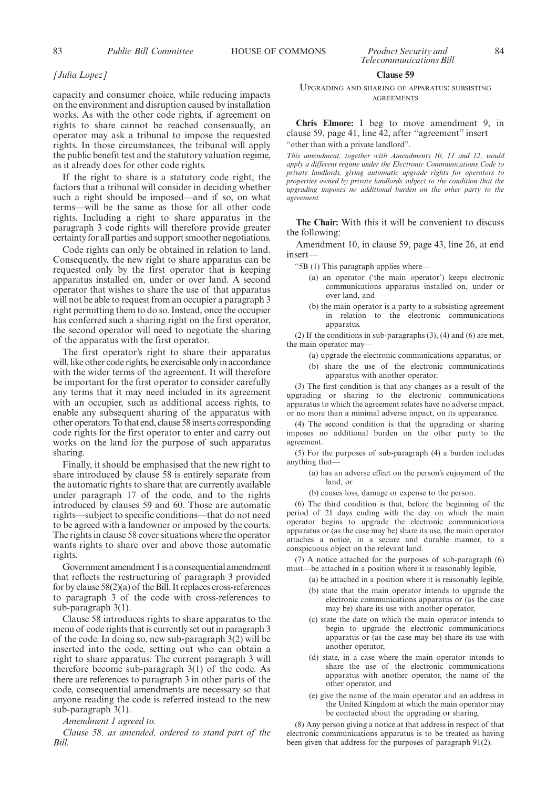#### *[Julia Lopez]*

capacity and consumer choice, while reducing impacts on the environment and disruption caused by installation works. As with the other code rights, if agreement on rights to share cannot be reached consensually, an operator may ask a tribunal to impose the requested rights. In those circumstances, the tribunal will apply the public benefit test and the statutory valuation regime, as it already does for other code rights.

If the right to share is a statutory code right, the factors that a tribunal will consider in deciding whether such a right should be imposed—and if so, on what terms—will be the same as those for all other code rights. Including a right to share apparatus in the paragraph 3 code rights will therefore provide greater certainty for all parties and support smoother negotiations.

Code rights can only be obtained in relation to land. Consequently, the new right to share apparatus can be requested only by the first operator that is keeping apparatus installed on, under or over land. A second operator that wishes to share the use of that apparatus will not be able to request from an occupier a paragraph 3 right permitting them to do so. Instead, once the occupier has conferred such a sharing right on the first operator, the second operator will need to negotiate the sharing of the apparatus with the first operator.

The first operator's right to share their apparatus will, like other code rights, be exercisable only in accordance with the wider terms of the agreement. It will therefore be important for the first operator to consider carefully any terms that it may need included in its agreement with an occupier, such as additional access rights, to enable any subsequent sharing of the apparatus with other operators. To that end, clause 58 inserts corresponding code rights for the first operator to enter and carry out works on the land for the purpose of such apparatus sharing.

Finally, it should be emphasised that the new right to share introduced by clause 58 is entirely separate from the automatic rights to share that are currently available under paragraph 17 of the code, and to the rights introduced by clauses 59 and 60. Those are automatic rights—subject to specific conditions—that do not need to be agreed with a landowner or imposed by the courts. The rights in clause 58 cover situations where the operator wants rights to share over and above those automatic rights.

Government amendment 1 is a consequential amendment that reflects the restructuring of paragraph 3 provided for by clause 58(2)(a) of the Bill. It replaces cross-references to paragraph 3 of the code with cross-references to sub-paragraph 3(1).

Clause 58 introduces rights to share apparatus to the menu of code rights that is currently set out in paragraph 3 of the code. In doing so, new sub-paragraph 3(2) will be inserted into the code, setting out who can obtain a right to share apparatus. The current paragraph 3 will therefore become sub-paragraph 3(1) of the code. As there are references to paragraph 3 in other parts of the code, consequential amendments are necessary so that anyone reading the code is referred instead to the new sub-paragraph 3(1).

#### *Amendment 1 agreed to.*

*Clause 58, as amended, ordered to stand part of the Bill.*

#### **Clause 59**

UPGRADING AND SHARING OF APPARATUS: SUBSISTING AGREEMENTS

**Chris Elmore:** I beg to move amendment 9, in clause 59, page 41, line 42, after "agreement" insert "other than with a private landlord".

*This amendment, together with Amendments 10, 11 and 12, would apply a different regime under the Electronic Communications Code to private landlords, giving automatic upgrade rights for operators to properties owned by private landlords subject to the condition that the upgrading imposes no additional burden on the other party to the agreement.*

**The Chair:** With this it will be convenient to discuss the following:

Amendment 10, in clause 59, page 43, line 26, at end insert—

"5B (1) This paragraph applies where—

- (a) an operator ('the main operator') keeps electronic communications apparatus installed on, under or over land, and
- (b) the main operator is a party to a subsisting agreement in relation to the electronic communications apparatus.

(2) If the conditions in sub-paragraphs (3), (4) and (6) are met, the main operator may-

- (a) upgrade the electronic communications apparatus, or
- (b) share the use of the electronic communications apparatus with another operator.

(3) The first condition is that any changes as a result of the upgrading or sharing to the electronic communications apparatus to which the agreement relates have no adverse impact, or no more than a minimal adverse impact, on its appearance.

(4) The second condition is that the upgrading or sharing imposes no additional burden on the other party to the agreement.

(5) For the purposes of sub-paragraph (4) a burden includes anything that—

- (a) has an adverse effect on the person's enjoyment of the land, or
- (b) causes loss, damage or expense to the person.

(6) The third condition is that, before the beginning of the period of 21 days ending with the day on which the main operator begins to upgrade the electronic communications apparatus or (as the case may be) share its use, the main operator attaches a notice, in a secure and durable manner, to a conspicuous object on the relevant land.

(7) A notice attached for the purposes of sub-paragraph (6) must—be attached in a position where it is reasonably legible,

(a) be attached in a position where it is reasonably legible,

- (b) state that the main operator intends to upgrade the electronic communications apparatus or (as the case may be) share its use with another operator,
- (c) state the date on which the main operator intends to begin to upgrade the electronic communications apparatus or (as the case may be) share its use with another operator,
- (d) state, in a case where the main operator intends to share the use of the electronic communications apparatus with another operator, the name of the other operator, and
- (e) give the name of the main operator and an address in the United Kingdom at which the main operator may be contacted about the upgrading or sharing.

(8) Any person giving a notice at that address in respect of that electronic communications apparatus is to be treated as having been given that address for the purposes of paragraph 91(2).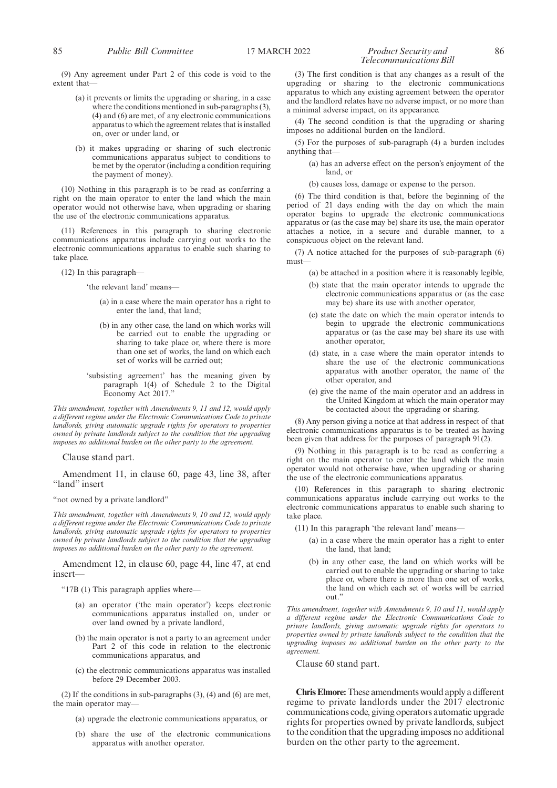#### 85 *Public Bill Committee* 17 MARCH 2022 *Product Security and* 86 *Telecommunications Bill*

(9) Any agreement under Part 2 of this code is void to the extent that—

- (a) it prevents or limits the upgrading or sharing, in a case where the conditions mentioned in sub-paragraphs (3), (4) and (6) are met, of any electronic communications apparatus to which the agreement relates that is installed on, over or under land, or
- (b) it makes upgrading or sharing of such electronic communications apparatus subject to conditions to be met by the operator (including a condition requiring the payment of money).

(10) Nothing in this paragraph is to be read as conferring a right on the main operator to enter the land which the main operator would not otherwise have, when upgrading or sharing the use of the electronic communications apparatus.

(11) References in this paragraph to sharing electronic communications apparatus include carrying out works to the electronic communications apparatus to enable such sharing to take place.

(12) In this paragraph—

'the relevant land' means—

- (a) in a case where the main operator has a right to enter the land, that land;
- (b) in any other case, the land on which works will be carried out to enable the upgrading or sharing to take place or, where there is more than one set of works, the land on which each set of works will be carried out;
- 'subsisting agreement' has the meaning given by paragraph 1(4) of Schedule 2 to the Digital Economy Act 2017.'

*This amendment, together with Amendments 9, 11 and 12, would apply a different regime under the Electronic Communications Code to private landlords, giving automatic upgrade rights for operators to properties owned by private landlords subject to the condition that the upgrading imposes no additional burden on the other party to the agreement.*

Clause stand part.

Amendment 11, in clause 60, page 43, line 38, after "land" insert

"not owned by a private landlord"

*This amendment, together with Amendments 9, 10 and 12, would apply a different regime under the Electronic Communications Code to private landlords, giving automatic upgrade rights for operators to properties owned by private landlords subject to the condition that the upgrading imposes no additional burden on the other party to the agreement.*

Amendment 12, in clause 60, page 44, line 47, at end insert—

"17B (1) This paragraph applies where—

- (a) an operator ('the main operator') keeps electronic communications apparatus installed on, under or over land owned by a private landlord,
- (b) the main operator is not a party to an agreement under Part 2 of this code in relation to the electronic communications apparatus, and
- (c) the electronic communications apparatus was installed before 29 December 2003.

(2) If the conditions in sub-paragraphs (3), (4) and (6) are met, the main operator may-

- (a) upgrade the electronic communications apparatus, or
- (b) share the use of the electronic communications apparatus with another operator.

(3) The first condition is that any changes as a result of the upgrading or sharing to the electronic communications apparatus to which any existing agreement between the operator and the landlord relates have no adverse impact, or no more than a minimal adverse impact, on its appearance.

(4) The second condition is that the upgrading or sharing imposes no additional burden on the landlord.

(5) For the purposes of sub-paragraph (4) a burden includes anything that—

> (a) has an adverse effect on the person's enjoyment of the land, or

(b) causes loss, damage or expense to the person.

(6) The third condition is that, before the beginning of the period of 21 days ending with the day on which the main operator begins to upgrade the electronic communications apparatus or (as the case may be) share its use, the main operator attaches a notice, in a secure and durable manner, to a conspicuous object on the relevant land.

(7) A notice attached for the purposes of sub-paragraph (6) must—

- (a) be attached in a position where it is reasonably legible,
- (b) state that the main operator intends to upgrade the electronic communications apparatus or (as the case may be) share its use with another operator,
- (c) state the date on which the main operator intends to begin to upgrade the electronic communications apparatus or (as the case may be) share its use with another operator,
- (d) state, in a case where the main operator intends to share the use of the electronic communications apparatus with another operator, the name of the other operator, and
- (e) give the name of the main operator and an address in the United Kingdom at which the main operator may be contacted about the upgrading or sharing.

(8) Any person giving a notice at that address in respect of that electronic communications apparatus is to be treated as having been given that address for the purposes of paragraph 91(2).

(9) Nothing in this paragraph is to be read as conferring a right on the main operator to enter the land which the main operator would not otherwise have, when upgrading or sharing the use of the electronic communications apparatus.

(10) References in this paragraph to sharing electronic communications apparatus include carrying out works to the electronic communications apparatus to enable such sharing to take place.

- (11) In this paragraph 'the relevant land' means—
	- (a) in a case where the main operator has a right to enter the land, that land;
	- (b) in any other case, the land on which works will be carried out to enable the upgrading or sharing to take place or, where there is more than one set of works, the land on which each set of works will be carried out."

*This amendment, together with Amendments 9, 10 and 11, would apply a different regime under the Electronic Communications Code to private landlords, giving automatic upgrade rights for operators to properties owned by private landlords subject to the condition that the upgrading imposes no additional burden on the other party to the agreement.*

Clause 60 stand part.

**Chris Elmore:**These amendments would apply a different regime to private landlords under the 2017 electronic communications code, giving operators automatic upgrade rights for properties owned by private landlords, subject to the condition that the upgrading imposes no additional burden on the other party to the agreement.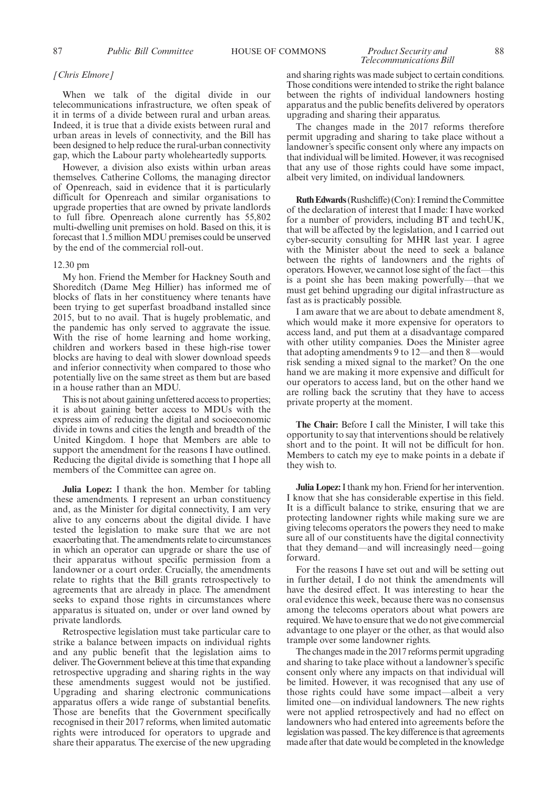### *Telecommunications Bill*

#### *[Chris Elmore]*

When we talk of the digital divide in our telecommunications infrastructure, we often speak of it in terms of a divide between rural and urban areas. Indeed, it is true that a divide exists between rural and urban areas in levels of connectivity, and the Bill has been designed to help reduce the rural-urban connectivity gap, which the Labour party wholeheartedly supports.

However, a division also exists within urban areas themselves. Catherine Colloms, the managing director of Openreach, said in evidence that it is particularly difficult for Openreach and similar organisations to upgrade properties that are owned by private landlords to full fibre. Openreach alone currently has 55,802 multi-dwelling unit premises on hold. Based on this, it is forecast that 1.5 million MDU premises could be unserved by the end of the commercial roll-out.

#### 12.30 pm

My hon. Friend the Member for Hackney South and Shoreditch (Dame Meg Hillier) has informed me of blocks of flats in her constituency where tenants have been trying to get superfast broadband installed since 2015, but to no avail. That is hugely problematic, and the pandemic has only served to aggravate the issue. With the rise of home learning and home working, children and workers based in these high-rise tower blocks are having to deal with slower download speeds and inferior connectivity when compared to those who potentially live on the same street as them but are based in a house rather than an MDU.

This is not about gaining unfettered access to properties; it is about gaining better access to MDUs with the express aim of reducing the digital and socioeconomic divide in towns and cities the length and breadth of the United Kingdom. I hope that Members are able to support the amendment for the reasons I have outlined. Reducing the digital divide is something that I hope all members of the Committee can agree on.

**Julia Lopez:** I thank the hon. Member for tabling these amendments. I represent an urban constituency and, as the Minister for digital connectivity, I am very alive to any concerns about the digital divide. I have tested the legislation to make sure that we are not exacerbating that. The amendments relate to circumstances in which an operator can upgrade or share the use of their apparatus without specific permission from a landowner or a court order. Crucially, the amendments relate to rights that the Bill grants retrospectively to agreements that are already in place. The amendment seeks to expand those rights in circumstances where apparatus is situated on, under or over land owned by private landlords.

Retrospective legislation must take particular care to strike a balance between impacts on individual rights and any public benefit that the legislation aims to deliver. The Government believe at this time that expanding retrospective upgrading and sharing rights in the way these amendments suggest would not be justified. Upgrading and sharing electronic communications apparatus offers a wide range of substantial benefits. Those are benefits that the Government specifically recognised in their 2017 reforms, when limited automatic rights were introduced for operators to upgrade and share their apparatus. The exercise of the new upgrading

and sharing rights was made subject to certain conditions. Those conditions were intended to strike the right balance between the rights of individual landowners hosting apparatus and the public benefits delivered by operators upgrading and sharing their apparatus.

The changes made in the 2017 reforms therefore permit upgrading and sharing to take place without a landowner's specific consent only where any impacts on that individual will be limited. However, it was recognised that any use of those rights could have some impact, albeit very limited, on individual landowners.

**Ruth Edwards**(Rushcliffe) (Con): I remind the Committee of the declaration of interest that I made: I have worked for a number of providers, including BT and techUK, that will be affected by the legislation, and I carried out cyber-security consulting for MHR last year. I agree with the Minister about the need to seek a balance between the rights of landowners and the rights of operators. However, we cannot lose sight of the fact—this is a point she has been making powerfully—that we must get behind upgrading our digital infrastructure as fast as is practicably possible.

I am aware that we are about to debate amendment 8, which would make it more expensive for operators to access land, and put them at a disadvantage compared with other utility companies. Does the Minister agree that adopting amendments 9 to 12—and then 8—would risk sending a mixed signal to the market? On the one hand we are making it more expensive and difficult for our operators to access land, but on the other hand we are rolling back the scrutiny that they have to access private property at the moment.

**The Chair:** Before I call the Minister, I will take this opportunity to say that interventions should be relatively short and to the point. It will not be difficult for hon. Members to catch my eye to make points in a debate if they wish to.

**Julia Lopez:**I thank my hon. Friend for her intervention. I know that she has considerable expertise in this field. It is a difficult balance to strike, ensuring that we are protecting landowner rights while making sure we are giving telecoms operators the powers they need to make sure all of our constituents have the digital connectivity that they demand—and will increasingly need—going forward.

For the reasons I have set out and will be setting out in further detail, I do not think the amendments will have the desired effect. It was interesting to hear the oral evidence this week, because there was no consensus among the telecoms operators about what powers are required. We have to ensure that we do not give commercial advantage to one player or the other, as that would also trample over some landowner rights.

The changes made in the 2017 reforms permit upgrading and sharing to take place without a landowner's specific consent only where any impacts on that individual will be limited. However, it was recognised that any use of those rights could have some impact—albeit a very limited one—on individual landowners. The new rights were not applied retrospectively and had no effect on landowners who had entered into agreements before the legislation was passed. The key difference is that agreements made after that date would be completed in the knowledge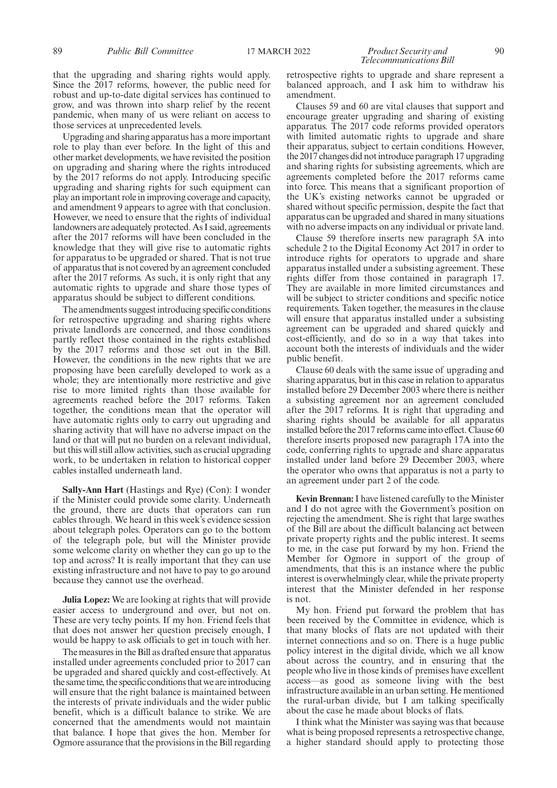#### 89 *Public Bill Committee* 17 MARCH 2022 *Product Security and* 90 *Telecommunications Bill*

that the upgrading and sharing rights would apply. Since the 2017 reforms, however, the public need for robust and up-to-date digital services has continued to grow, and was thrown into sharp relief by the recent pandemic, when many of us were reliant on access to those services at unprecedented levels.

Upgrading and sharing apparatus has a more important role to play than ever before. In the light of this and other market developments, we have revisited the position on upgrading and sharing where the rights introduced by the 2017 reforms do not apply. Introducing specific upgrading and sharing rights for such equipment can play an important role in improving coverage and capacity, and amendment 9 appears to agree with that conclusion. However, we need to ensure that the rights of individual landowners are adequately protected. As I said, agreements after the 2017 reforms will have been concluded in the knowledge that they will give rise to automatic rights for apparatus to be upgraded or shared. That is not true of apparatus that is not covered by an agreement concluded after the 2017 reforms. As such, it is only right that any automatic rights to upgrade and share those types of apparatus should be subject to different conditions.

The amendments suggest introducing specific conditions for retrospective upgrading and sharing rights where private landlords are concerned, and those conditions partly reflect those contained in the rights established by the 2017 reforms and those set out in the Bill. However, the conditions in the new rights that we are proposing have been carefully developed to work as a whole; they are intentionally more restrictive and give rise to more limited rights than those available for agreements reached before the 2017 reforms. Taken together, the conditions mean that the operator will have automatic rights only to carry out upgrading and sharing activity that will have no adverse impact on the land or that will put no burden on a relevant individual, but this will still allow activities, such as crucial upgrading work, to be undertaken in relation to historical copper cables installed underneath land.

**Sally-Ann Hart** (Hastings and Rye) (Con): I wonder if the Minister could provide some clarity. Underneath the ground, there are ducts that operators can run cables through. We heard in this week's evidence session about telegraph poles. Operators can go to the bottom of the telegraph pole, but will the Minister provide some welcome clarity on whether they can go up to the top and across? It is really important that they can use existing infrastructure and not have to pay to go around because they cannot use the overhead.

**Julia Lopez:** We are looking at rights that will provide easier access to underground and over, but not on. These are very techy points. If my hon. Friend feels that that does not answer her question precisely enough, I would be happy to ask officials to get in touch with her.

The measures in the Bill as drafted ensure that apparatus installed under agreements concluded prior to 2017 can be upgraded and shared quickly and cost-effectively. At the same time, the specific conditions that we are introducing will ensure that the right balance is maintained between the interests of private individuals and the wider public benefit, which is a difficult balance to strike. We are concerned that the amendments would not maintain that balance. I hope that gives the hon. Member for Ogmore assurance that the provisions in the Bill regarding

retrospective rights to upgrade and share represent a balanced approach, and I ask him to withdraw his amendment.

Clauses 59 and 60 are vital clauses that support and encourage greater upgrading and sharing of existing apparatus. The 2017 code reforms provided operators with limited automatic rights to upgrade and share their apparatus, subject to certain conditions. However, the 2017 changes did not introduce paragraph 17 upgrading and sharing rights for subsisting agreements, which are agreements completed before the 2017 reforms came into force. This means that a significant proportion of the UK's existing networks cannot be upgraded or shared without specific permission, despite the fact that apparatus can be upgraded and shared in many situations with no adverse impacts on any individual or private land.

Clause 59 therefore inserts new paragraph 5A into schedule 2 to the Digital Economy Act 2017 in order to introduce rights for operators to upgrade and share apparatus installed under a subsisting agreement. These rights differ from those contained in paragraph 17. They are available in more limited circumstances and will be subject to stricter conditions and specific notice requirements. Taken together, the measures in the clause will ensure that apparatus installed under a subsisting agreement can be upgraded and shared quickly and cost-efficiently, and do so in a way that takes into account both the interests of individuals and the wider public benefit.

Clause 60 deals with the same issue of upgrading and sharing apparatus, but in this case in relation to apparatus installed before 29 December 2003 where there is neither a subsisting agreement nor an agreement concluded after the 2017 reforms. It is right that upgrading and sharing rights should be available for all apparatus installed before the 2017 reforms came into effect. Clause 60 therefore inserts proposed new paragraph 17A into the code, conferring rights to upgrade and share apparatus installed under land before 29 December 2003, where the operator who owns that apparatus is not a party to an agreement under part 2 of the code.

**Kevin Brennan:**I have listened carefully to the Minister and I do not agree with the Government's position on rejecting the amendment. She is right that large swathes of the Bill are about the difficult balancing act between private property rights and the public interest. It seems to me, in the case put forward by my hon. Friend the Member for Ogmore in support of the group of amendments, that this is an instance where the public interest is overwhelmingly clear, while the private property interest that the Minister defended in her response is not.

My hon. Friend put forward the problem that has been received by the Committee in evidence, which is that many blocks of flats are not updated with their internet connections and so on. There is a huge public policy interest in the digital divide, which we all know about across the country, and in ensuring that the people who live in those kinds of premises have excellent access—as good as someone living with the best infrastructure available in an urban setting. He mentioned the rural-urban divide, but I am talking specifically about the case he made about blocks of flats.

I think what the Minister was saying was that because what is being proposed represents a retrospective change, a higher standard should apply to protecting those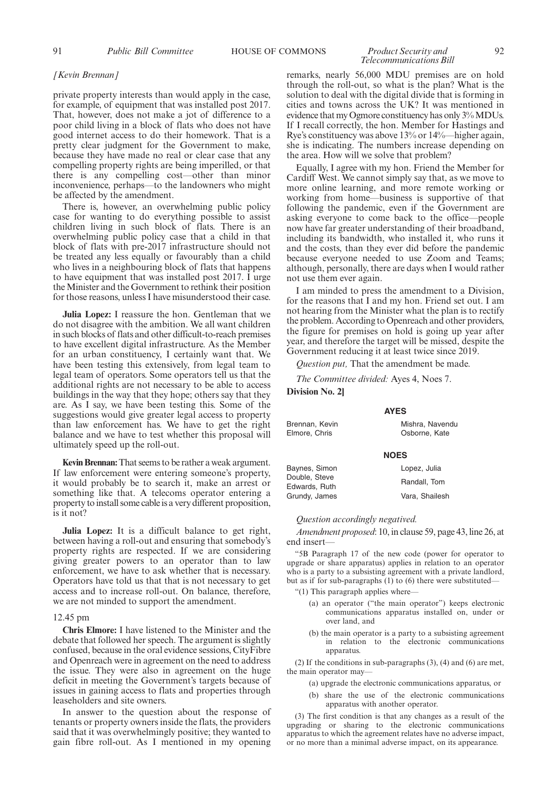91 *Public Bill Committee* HOUSE OF COMMONS *Product Security and* 92

### *Telecommunications Bill*

#### *[Kevin Brennan]*

private property interests than would apply in the case, for example, of equipment that was installed post 2017. That, however, does not make a jot of difference to a poor child living in a block of flats who does not have good internet access to do their homework. That is a pretty clear judgment for the Government to make, because they have made no real or clear case that any compelling property rights are being imperilled, or that there is any compelling cost—other than minor inconvenience, perhaps—to the landowners who might be affected by the amendment.

There is, however, an overwhelming public policy case for wanting to do everything possible to assist children living in such block of flats. There is an overwhelming public policy case that a child in that block of flats with pre-2017 infrastructure should not be treated any less equally or favourably than a child who lives in a neighbouring block of flats that happens to have equipment that was installed post 2017. I urge the Minister and the Government to rethink their position for those reasons, unless I have misunderstood their case.

**Julia Lopez:** I reassure the hon. Gentleman that we do not disagree with the ambition. We all want children in such blocks of flats and other difficult-to-reach premises to have excellent digital infrastructure. As the Member for an urban constituency, I certainly want that. We have been testing this extensively, from legal team to legal team of operators. Some operators tell us that the additional rights are not necessary to be able to access buildings in the way that they hope; others say that they are. As I say, we have been testing this. Some of the suggestions would give greater legal access to property than law enforcement has. We have to get the right balance and we have to test whether this proposal will ultimately speed up the roll-out.

**Kevin Brennan:**That seems to be rather a weak argument. If law enforcement were entering someone's property, it would probably be to search it, make an arrest or something like that. A telecoms operator entering a property to install some cable is a very different proposition, is it not?

**Julia Lopez:** It is a difficult balance to get right, between having a roll-out and ensuring that somebody's property rights are respected. If we are considering giving greater powers to an operator than to law enforcement, we have to ask whether that is necessary. Operators have told us that that is not necessary to get access and to increase roll-out. On balance, therefore, we are not minded to support the amendment.

#### 12.45 pm

**Chris Elmore:** I have listened to the Minister and the debate that followed her speech. The argument is slightly confused, because in the oral evidence sessions, CityFibre and Openreach were in agreement on the need to address the issue. They were also in agreement on the huge deficit in meeting the Government's targets because of issues in gaining access to flats and properties through leaseholders and site owners.

In answer to the question about the response of tenants or property owners inside the flats, the providers said that it was overwhelmingly positive; they wanted to gain fibre roll-out. As I mentioned in my opening

remarks, nearly 56,000 MDU premises are on hold through the roll-out, so what is the plan? What is the solution to deal with the digital divide that is forming in cities and towns across the UK? It was mentioned in evidence that my Ogmore constituency has only 3% MDUs. If I recall correctly, the hon. Member for Hastings and Rye's constituency was above 13% or 14%—higher again, she is indicating. The numbers increase depending on the area. How will we solve that problem?

Equally, I agree with my hon. Friend the Member for Cardiff West. We cannot simply say that, as we move to more online learning, and more remote working or working from home—business is supportive of that following the pandemic, even if the Government are asking everyone to come back to the office—people now have far greater understanding of their broadband, including its bandwidth, who installed it, who runs it and the costs, than they ever did before the pandemic because everyone needed to use Zoom and Teams; although, personally, there are days when I would rather not use them ever again.

I am minded to press the amendment to a Division, for the reasons that I and my hon. Friend set out. I am not hearing from the Minister what the plan is to rectify the problem. According to Openreach and other providers, the figure for premises on hold is going up year after year, and therefore the target will be missed, despite the Government reducing it at least twice since 2019.

*Question put,* That the amendment be made.

*The Committee divided:* Ayes 4, Noes 7.

#### **Division No. 2]**

**AYES** Brennan, Kevin Elmore, Chris Mishra, Navendu Osborne, Kate

#### **NOES**

| Baynes, Simon                  | Lopez, Julia   |
|--------------------------------|----------------|
| Double, Steve<br>Edwards, Ruth | Randall, Tom   |
| Grundy, James                  | Vara, Shailesh |

#### *Question accordingly negatived.*

*Amendment proposed*: 10, in clause 59, page 43, line 26, at end insert—

"5B Paragraph 17 of the new code (power for operator to upgrade or share apparatus) applies in relation to an operator who is a party to a subsisting agreement with a private landlord, but as if for sub-paragraphs (1) to (6) there were substituted—

"(1) This paragraph applies where—

- (a) an operator ("the main operator") keeps electronic communications apparatus installed on, under or over land, and
- (b) the main operator is a party to a subsisting agreement in relation to the electronic communications apparatus.

(2) If the conditions in sub-paragraphs (3), (4) and (6) are met, the main operator may—

- (a) upgrade the electronic communications apparatus, or
- (b) share the use of the electronic communications apparatus with another operator.

(3) The first condition is that any changes as a result of the upgrading or sharing to the electronic communications apparatus to which the agreement relates have no adverse impact, or no more than a minimal adverse impact, on its appearance.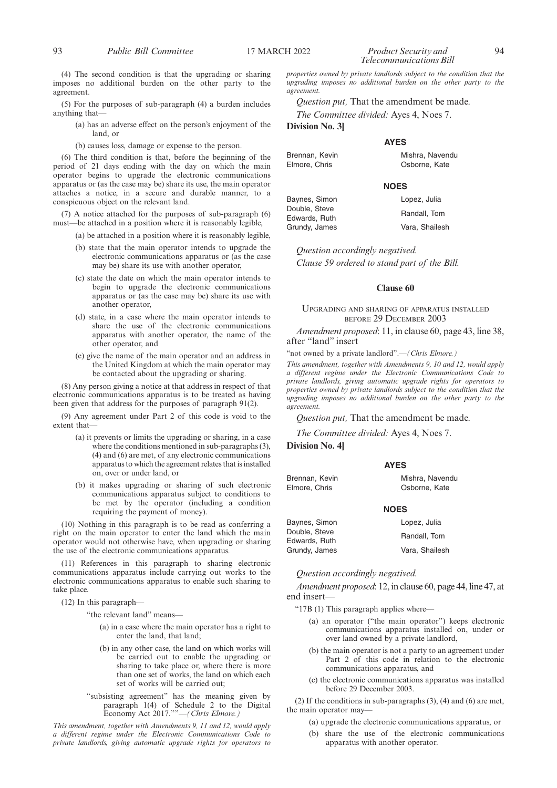(4) The second condition is that the upgrading or sharing imposes no additional burden on the other party to the agreement.

(5) For the purposes of sub-paragraph (4) a burden includes anything that—

(a) has an adverse effect on the person's enjoyment of the land, or

(b) causes loss, damage or expense to the person.

(6) The third condition is that, before the beginning of the period of 21 days ending with the day on which the main operator begins to upgrade the electronic communications apparatus or (as the case may be) share its use, the main operator attaches a notice, in a secure and durable manner, to a conspicuous object on the relevant land.

(7) A notice attached for the purposes of sub-paragraph (6) must—be attached in a position where it is reasonably legible,

- (a) be attached in a position where it is reasonably legible,
- (b) state that the main operator intends to upgrade the electronic communications apparatus or (as the case may be) share its use with another operator,
- (c) state the date on which the main operator intends to begin to upgrade the electronic communications apparatus or (as the case may be) share its use with another operator,
- (d) state, in a case where the main operator intends to share the use of the electronic communications apparatus with another operator, the name of the other operator, and
- (e) give the name of the main operator and an address in the United Kingdom at which the main operator may be contacted about the upgrading or sharing.

(8) Any person giving a notice at that address in respect of that electronic communications apparatus is to be treated as having been given that address for the purposes of paragraph 91(2).

(9) Any agreement under Part 2 of this code is void to the extent that—

- (a) it prevents or limits the upgrading or sharing, in a case where the conditions mentioned in sub-paragraphs (3), (4) and (6) are met, of any electronic communications apparatus to which the agreement relates that is installed on, over or under land, or
- (b) it makes upgrading or sharing of such electronic communications apparatus subject to conditions to be met by the operator (including a condition requiring the payment of money).

(10) Nothing in this paragraph is to be read as conferring a right on the main operator to enter the land which the main operator would not otherwise have, when upgrading or sharing the use of the electronic communications apparatus.

(11) References in this paragraph to sharing electronic communications apparatus include carrying out works to the electronic communications apparatus to enable such sharing to take place.

(12) In this paragraph—

"the relevant land" means—

- (a) in a case where the main operator has a right to enter the land, that land;
- (b) in any other case, the land on which works will be carried out to enable the upgrading or sharing to take place or, where there is more than one set of works, the land on which each set of works will be carried out;
- "subsisting agreement" has the meaning given by paragraph 1(4) of Schedule 2 to the Digital Economy Act 2017.""—*(Chris Elmore.)*

*This amendment, together with Amendments 9, 11 and 12, would apply a different regime under the Electronic Communications Code to private landlords, giving automatic upgrade rights for operators to*

#### 93 *Public Bill Committee* 17 MARCH 2022 *Product Security and* 94 *Telecommunications Bill*

*properties owned by private landlords subject to the condition that the upgrading imposes no additional burden on the other party to the agreement.*

*Question put,* That the amendment be made.

*The Committee divided:* Ayes 4, Noes 7.

**Division No. 3]**

#### **AYES**

Brennan, Kevin Elmore, Chris

#### **NOES**

Double, Steve Edwards, Ruth Grundy, James Lopez, Julia

Mishra, Navendu Osborne, Kate

Randall, Tom Vara, Shailesh

*Question accordingly negatived. Clause 59 ordered to stand part of the Bill.*

#### **Clause 60**

#### UPGRADING AND SHARING OF APPARATUS INSTALLED BEFORE 29 DECEMBER 2003

*Amendment proposed*: 11, in clause 60, page 43, line 38, after "land" insert

"not owned by a private landlord".—*(Chris Elmore.)*

*This amendment, together with Amendments 9, 10 and 12, would apply a different regime under the Electronic Communications Code to private landlords, giving automatic upgrade rights for operators to properties owned by private landlords subject to the condition that the upgrading imposes no additional burden on the other party to the agreement.*

*Question put,* That the amendment be made.

*The Committee divided:* Ayes 4, Noes 7.

**Division No. 4]**

#### **AYES**

Brennan, Kevin Elmore, Chris Mishra, Navendu Osborne, Kate

#### **NOES**

| Baynes, Simon | Lopez, Julia   |
|---------------|----------------|
| Double. Steve | Randall, Tom   |
| Edwards. Ruth |                |
| Grundy, James | Vara, Shailesh |

*Question accordingly negatived.*

*Amendment proposed*: 12, in clause 60, page 44, line 47, at end insert—

- "17B (1) This paragraph applies where-
	- (a) an operator ("the main operator") keeps electronic communications apparatus installed on, under or over land owned by a private landlord,
	- (b) the main operator is not a party to an agreement under Part 2 of this code in relation to the electronic communications apparatus, and
	- (c) the electronic communications apparatus was installed before 29 December 2003.

(2) If the conditions in sub-paragraphs (3), (4) and (6) are met, the main operator may—

- (a) upgrade the electronic communications apparatus, or
- (b) share the use of the electronic communications apparatus with another operator.

Baynes, Simon